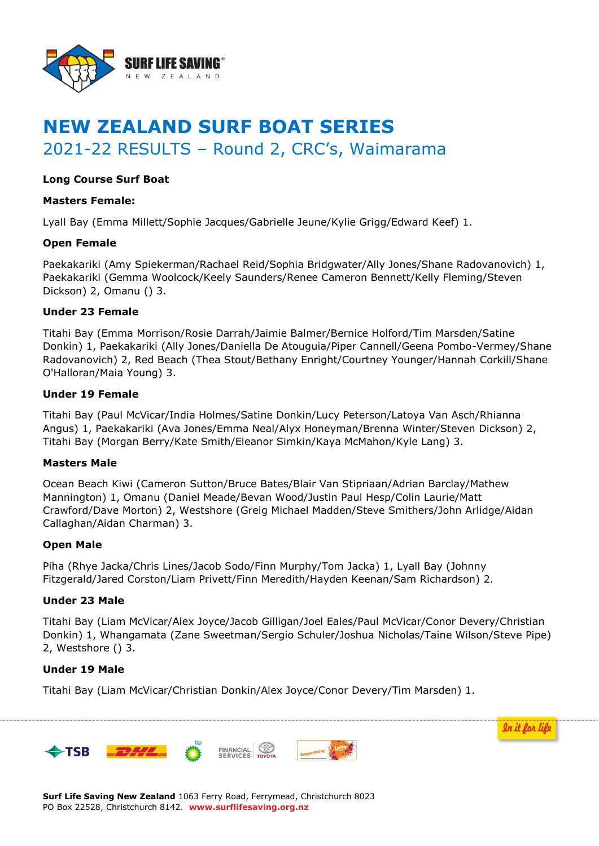

# **NEW ZEALAND SURF BOAT SERIES** 2021-22 RESULTS – Round 2, CRC's, Waimarama

# **Long Course Surf Boat**

## **Masters Female:**

Lyall Bay (Emma Millett/Sophie Jacques/Gabrielle Jeune/Kylie Grigg/Edward Keef) 1.

## **Open Female**

Paekakariki (Amy Spiekerman/Rachael Reid/Sophia Bridgwater/Ally Jones/Shane Radovanovich) 1, Paekakariki (Gemma Woolcock/Keely Saunders/Renee Cameron Bennett/Kelly Fleming/Steven Dickson) 2, Omanu () 3.

## **Under 23 Female**

Titahi Bay (Emma Morrison/Rosie Darrah/Jaimie Balmer/Bernice Holford/Tim Marsden/Satine Donkin) 1, Paekakariki (Ally Jones/Daniella De Atouguia/Piper Cannell/Geena Pombo-Vermey/Shane Radovanovich) 2, Red Beach (Thea Stout/Bethany Enright/Courtney Younger/Hannah Corkill/Shane O'Halloran/Maia Young) 3.

## **Under 19 Female**

Titahi Bay (Paul McVicar/India Holmes/Satine Donkin/Lucy Peterson/Latoya Van Asch/Rhianna Angus) 1, Paekakariki (Ava Jones/Emma Neal/Alyx Honeyman/Brenna Winter/Steven Dickson) 2, Titahi Bay (Morgan Berry/Kate Smith/Eleanor Simkin/Kaya McMahon/Kyle Lang) 3.

#### **Masters Male**

Ocean Beach Kiwi (Cameron Sutton/Bruce Bates/Blair Van Stipriaan/Adrian Barclay/Mathew Mannington) 1, Omanu (Daniel Meade/Bevan Wood/Justin Paul Hesp/Colin Laurie/Matt Crawford/Dave Morton) 2, Westshore (Greig Michael Madden/Steve Smithers/John Arlidge/Aidan Callaghan/Aidan Charman) 3.

#### **Open Male**

Piha (Rhye Jacka/Chris Lines/Jacob Sodo/Finn Murphy/Tom Jacka) 1, Lyall Bay (Johnny Fitzgerald/Jared Corston/Liam Privett/Finn Meredith/Hayden Keenan/Sam Richardson) 2.

## **Under 23 Male**

Titahi Bay (Liam McVicar/Alex Joyce/Jacob Gilligan/Joel Eales/Paul McVicar/Conor Devery/Christian Donkin) 1, Whangamata (Zane Sweetman/Sergio Schuler/Joshua Nicholas/Taine Wilson/Steve Pipe) 2, Westshore () 3.

In it for life

## **Under 19 Male**

Titahi Bay (Liam McVicar/Christian Donkin/Alex Joyce/Conor Devery/Tim Marsden) 1.



**Surf Life Saving New Zealand** 1063 Ferry Road, Ferrymead, Christchurch 8023 PO Box 22528, Christchurch 8142. **www.surflifesaving.org.nz**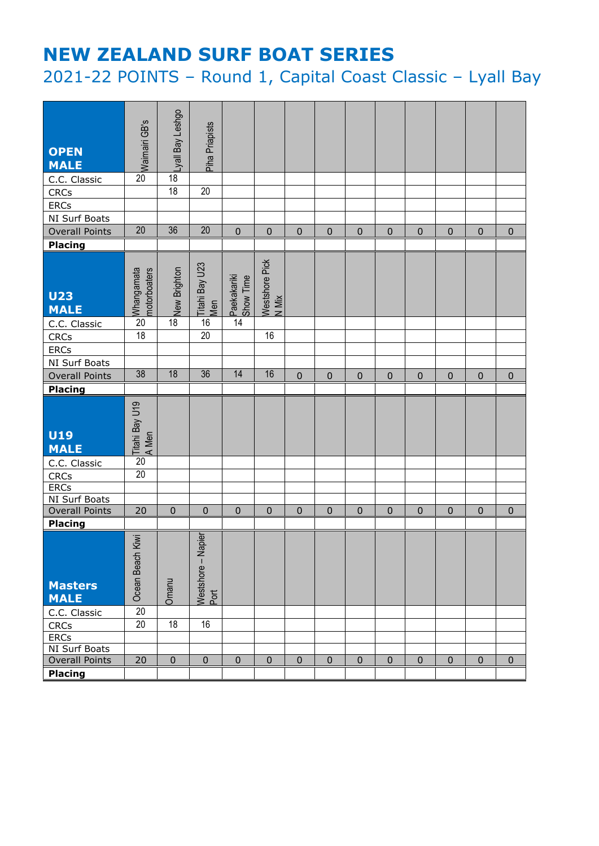# **NEW ZEALAND SURF BOAT SERIES**

2021-22 POINTS – Round 1, Capital Coast Classic – Lyall Bay

| <b>OPEN</b><br><b>MALE</b>    | o Waimairi GB's                        | opusə J keallev¶                | Piha Priapists             |                          |                         |              |             |              |             |             |              |             |           |
|-------------------------------|----------------------------------------|---------------------------------|----------------------------|--------------------------|-------------------------|--------------|-------------|--------------|-------------|-------------|--------------|-------------|-----------|
| C.C. Classic                  |                                        |                                 |                            |                          |                         |              |             |              |             |             |              |             |           |
| <b>CRCs</b>                   |                                        | $\overline{18}$                 | $\overline{20}$            |                          |                         |              |             |              |             |             |              |             |           |
| <b>ERCs</b>                   |                                        |                                 |                            |                          |                         |              |             |              |             |             |              |             |           |
| NI Surf Boats                 |                                        |                                 |                            |                          |                         |              |             |              |             |             |              |             |           |
| <b>Overall Points</b>         | $\overline{20}$                        | 36                              | $\overline{20}$            | $\mathbf 0$              | $\mathbf 0$             | $\mathbf 0$  | $\mathbf 0$ | $\mathbf{0}$ | $\mathbf 0$ | $\mathbf 0$ | $\mathbf 0$  | $\mathbf 0$ | $\pmb{0}$ |
| <b>Placing</b>                |                                        |                                 |                            |                          |                         |              |             |              |             |             |              |             |           |
| <b>U23</b><br><b>MALE</b>     | bol<br>Mhangamata<br>motorboaters      | $\frac{1}{\infty}$ New Brighton | . Titahi Bay U23<br>Men    | Paekakariki<br>Show Time | Westshore Pick<br>N Mix |              |             |              |             |             |              |             |           |
| C.C. Classic                  |                                        |                                 | 16                         | $\overline{14}$          |                         |              |             |              |             |             |              |             |           |
| <b>CRCs</b>                   | 18                                     |                                 | 20                         |                          | 16                      |              |             |              |             |             |              |             |           |
| ERCs                          |                                        |                                 |                            |                          |                         |              |             |              |             |             |              |             |           |
| NI Surf Boats                 |                                        |                                 |                            |                          |                         |              |             |              |             |             |              |             |           |
| <b>Overall Points</b>         | $\overline{38}$                        | 18                              | $\overline{36}$            | 14                       | 16                      | $\mathbf{0}$ | $\mathbf 0$ | $\mathbf{0}$ | $\mathbf 0$ | $\mathbf 0$ | $\mathbf 0$  | $\mathbf 0$ | $\pmb{0}$ |
| Placing                       |                                        |                                 |                            |                          |                         |              |             |              |             |             |              |             |           |
| <b>U19</b><br><b>MALE</b>     | , <mark>Titahi Bay U19</mark><br>A Men |                                 |                            |                          |                         |              |             |              |             |             |              |             |           |
| C.C. Classic                  | $\overline{20}$                        |                                 |                            |                          |                         |              |             |              |             |             |              |             |           |
| <b>CRCs</b>                   | 20                                     |                                 |                            |                          |                         |              |             |              |             |             |              |             |           |
| <b>ERCs</b>                   |                                        |                                 |                            |                          |                         |              |             |              |             |             |              |             |           |
| NI Surf Boats                 |                                        |                                 |                            |                          |                         |              |             |              |             |             |              |             |           |
| <b>Overall Points</b>         | 20                                     | $\pmb{0}$                       | $\pmb{0}$                  | $\pmb{0}$                | $\pmb{0}$               | $\mathbf 0$  | $\pmb{0}$   | $\mathbf 0$  | $\mathbf 0$ | $\pmb{0}$   | $\mathbf 0$  | $\mathbf 0$ | $\pmb{0}$ |
| <b>Placing</b>                |                                        |                                 |                            |                          |                         |              |             |              |             |             |              |             |           |
| <b>Masters</b><br><b>MALE</b> | Kiwi<br>Ocean Beach                    | Omanu                           | Westshore - Napier<br>Port |                          |                         |              |             |              |             |             |              |             |           |
| C.C. Classic                  | $\overline{20}$                        |                                 |                            |                          |                         |              |             |              |             |             |              |             |           |
| <b>CRCs</b>                   | 20                                     | $\overline{18}$                 | 16                         |                          |                         |              |             |              |             |             |              |             |           |
| ERCs                          |                                        |                                 |                            |                          |                         |              |             |              |             |             |              |             |           |
| NI Surf Boats                 |                                        |                                 |                            |                          |                         |              |             |              |             |             |              |             |           |
| <b>Overall Points</b>         | 20                                     | $\mathbf 0$                     | $\pmb{0}$                  | $\mathbf 0$              | $\mathbf 0$             | $\mathbf{0}$ | $\pmb{0}$   | $\mathbf 0$  | $\mathbf 0$ | $\pmb{0}$   | $\mathbf{0}$ | $\mathbf 0$ | 0         |
| Placing                       |                                        |                                 |                            |                          |                         |              |             |              |             |             |              |             |           |